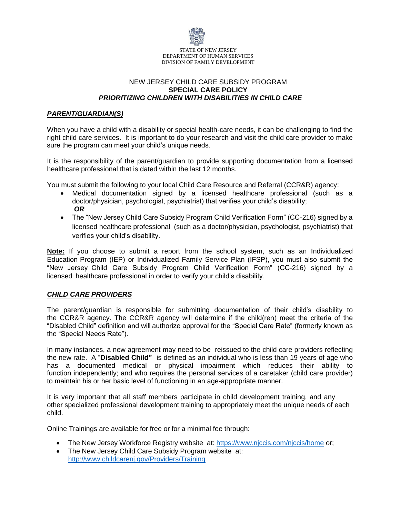

## NEW JERSEY CHILD CARE SUBSIDY PROGRAM **SPECIAL CARE POLICY**  *PRIORITIZING CHILDREN WITH DISABILITIES IN CHILD CARE*

## *PARENT/GUARDIAN(S)*

When you have a child with a disability or special health-care needs, it can be challenging to find the right child care services. It is important to do your research and visit the child care provider to make sure the program can meet your child's unique needs.

It is the responsibility of the parent/guardian to provide supporting documentation from a licensed healthcare professional that is dated within the last 12 months.

You must submit the following to your local Child Care Resource and Referral (CCR&R) agency:

- Medical documentation signed by a licensed healthcare professional (such as a doctor/physician, psychologist, psychiatrist) that verifies your child's disability; *OR*
- The "New Jersey Child Care Subsidy Program Child Verification Form" (CC-216) signed by a licensed healthcare professional (such as a doctor/physician, psychologist, psychiatrist) that verifies your child's disability.

**Note:** If you choose to submit a report from the school system, such as an Individualized Education Program (IEP) or Individualized Family Service Plan (IFSP), you must also submit the "New Jersey Child Care Subsidy Program Child Verification Form" (CC-216) signed by a licensed healthcare professional in order to verify your child's disability.

## *CHILD CARE PROVIDERS*

The parent/guardian is responsible for submitting documentation of their child's disability to the CCR&R agency. The CCR&R agency will determine if the child(ren) meet the criteria of the "Disabled Child" definition and will authorize approval for the "Special Care Rate" (formerly known as the "Special Needs Rate").

In many instances, a new agreement may need to be reissued to the child care providers reflecting the new rate. A "**Disabled Child"** is defined as an individual who is less than 19 years of age who has a documented medical or physical impairment which reduces their ability to function independently; and who requires the personal services of a caretaker (child care provider) to maintain his or her basic level of functioning in an age-appropriate manner.

It is very important that all staff members participate in child development training, and any other specialized professional development training to appropriately meet the unique needs of each child.

Online Trainings are available for free or for a minimal fe[e through:](https://www.njccis.com/njccis/home) 

- [The New Jersey Workforce Registry](http://www.childcarenj.gov/Providers/Training) website at: https://www.njccis.com/njccis/home or;
- The New Jersey Child Care Subsidy Program website at: http://www.childcarenj.gov/Providers/Training